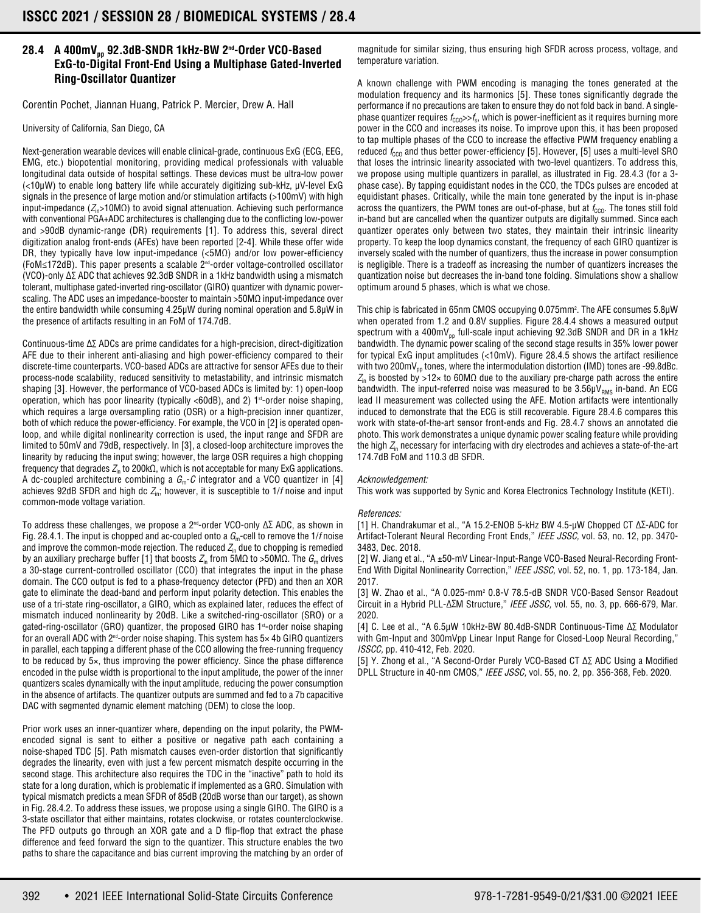## **28.4 A 400mVpp 92.3dB-SNDR 1kHz-BW 2nd-Order VCO-Based ExG-to-Digital Front-End Using a Multiphase Gated-Inverted Ring-Oscillator Quantizer**

Corentin Pochet, Jiannan Huang, Patrick P. Mercier, Drew A. Hall

University of California, San Diego, CA

Next-generation wearable devices will enable clinical-grade, continuous ExG (ECG, EEG, EMG, etc.) biopotential monitoring, providing medical professionals with valuable longitudinal data outside of hospital settings. These devices must be ultra-low power (<10μW) to enable long battery life while accurately digitizing sub-kHz, μV-level ExG signals in the presence of large motion and/or stimulation artifacts  $(>100mV)$  with high input-impedance ( $Z_{in}$ >10M $\Omega$ ) to avoid signal attenuation. Achieving such performance with conventional PGA+ADC architectures is challenging due to the conflicting low-power and >90dB dynamic-range (DR) requirements [1]. To address this, several direct digitization analog front-ends (AFEs) have been reported [2-4]. While these offer wide DR, they typically have low input-impedance (<5MΩ) and/or low power-efficiency (FoM≤172dB). This paper presents a scalable 2nd-order voltage-controlled oscillator (VCO)-only Δ∑ ADC that achieves 92.3dB SNDR in a 1kHz bandwidth using a mismatch tolerant, multiphase gated-inverted ring-oscillator (GIRO) quantizer with dynamic powerscaling. The ADC uses an impedance-booster to maintain >50MΩ input-impedance over the entire bandwidth while consuming 4.25μW during nominal operation and 5.8μW in the presence of artifacts resulting in an FoM of 174.7dB.

Continuous-time Δ∑ ADCs are prime candidates for a high-precision, direct-digitization AFE due to their inherent anti-aliasing and high power-efficiency compared to their discrete-time counterparts. VCO-based ADCs are attractive for sensor AFEs due to their process-node scalability, reduced sensitivity to metastability, and intrinsic mismatch shaping [3]. However, the performance of VCO-based ADCs is limited by: 1) open-loop operation, which has poor linearity (typically  $<60dB$ ), and 2) 1<sup>st</sup>-order noise shaping, which requires a large oversampling ratio (OSR) or a high-precision inner quantizer, both of which reduce the power-efficiency. For example, the VCO in [2] is operated openloop, and while digital nonlinearity correction is used, the input range and SFDR are limited to 50mV and 79dB, respectively. In [3], a closed-loop architecture improves the linearity by reducing the input swing; however, the large OSR requires a high chopping frequency that degrades  $Z<sub>in</sub>$  to 200kΩ, which is not acceptable for many ExG applications. A dc-coupled architecture combining a  $G_m$ -C integrator and a VCO quantizer in [4] achieves 92dB SFDR and high dc  $Z_{\text{in}}$ ; however, it is susceptible to 1/f noise and input common-mode voltage variation.

To address these challenges, we propose a 2nd-order VCO-only Δ∑ ADC, as shown in Fig. 28.4.1. The input is chopped and ac-coupled onto a  $G<sub>m</sub>$ -cell to remove the 1/f noise and improve the common-mode rejection. The reduced  $Z_{\text{in}}$  due to chopping is remedied by an auxiliary precharge buffer [1] that boosts  $Z_{\text{in}}$  from 5MΩ to >50MΩ. The  $G_{\text{in}}$  drives a 30-stage current-controlled oscillator (CCO) that integrates the input in the phase domain. The CCO output is fed to a phase-frequency detector (PFD) and then an XOR gate to eliminate the dead-band and perform input polarity detection. This enables the use of a tri-state ring-oscillator, a GIRO, which as explained later, reduces the effect of mismatch induced nonlinearity by 20dB. Like a switched-ring-oscillator (SRO) or a gated-ring-oscillator (GRO) quantizer, the proposed GIRO has 1<sup>st</sup>-order noise shaping for an overall ADC with  $2^{nd}$ -order noise shaping. This system has  $5\times$  4b GIRO quantizers in parallel, each tapping a different phase of the CCO allowing the free-running frequency to be reduced by 5×, thus improving the power efficiency. Since the phase difference encoded in the pulse width is proportional to the input amplitude, the power of the inner quantizers scales dynamically with the input amplitude, reducing the power consumption in the absence of artifacts. The quantizer outputs are summed and fed to a 7b capacitive DAC with segmented dynamic element matching (DEM) to close the loop.

Prior work uses an inner-quantizer where, depending on the input polarity, the PWMencoded signal is sent to either a positive or negative path each containing a noise-shaped TDC [5]. Path mismatch causes even-order distortion that significantly degrades the linearity, even with just a few percent mismatch despite occurring in the second stage. This architecture also requires the TDC in the "inactive" path to hold its state for a long duration, which is problematic if implemented as a GRO. Simulation with typical mismatch predicts a mean SFDR of 85dB (20dB worse than our target), as shown in Fig. 28.4.2. To address these issues, we propose using a single GIRO. The GIRO is a 3-state oscillator that either maintains, rotates clockwise, or rotates counterclockwise. The PFD outputs go through an XOR gate and a D flip-flop that extract the phase difference and feed forward the sign to the quantizer. This structure enables the two paths to share the capacitance and bias current improving the matching by an order of

magnitude for similar sizing, thus ensuring high SFDR across process, voltage, and temperature variation.

A known challenge with PWM encoding is managing the tones generated at the modulation frequency and its harmonics [5]. These tones significantly degrade the performance if no precautions are taken to ensure they do not fold back in band. A singlephase quantizer requires  $f_{\text{CCO}}>>f_s$ , which is power-inefficient as it requires burning more power in the CCO and increases its noise. To improve upon this, it has been proposed to tap multiple phases of the CCO to increase the effective PWM frequency enabling a reduced  $f_{\text{CCO}}$  and thus better power-efficiency [5]. However, [5] uses a multi-level SRO that loses the intrinsic linearity associated with two-level quantizers. To address this, we propose using multiple quantizers in parallel, as illustrated in Fig. 28.4.3 (for a 3 phase case). By tapping equidistant nodes in the CCO, the TDCs pulses are encoded at equidistant phases. Critically, while the main tone generated by the input is in-phase across the quantizers, the PWM tones are out-of-phase, but at  $f_{\text{CCO}}$ . The tones still fold in-band but are cancelled when the quantizer outputs are digitally summed. Since each quantizer operates only between two states, they maintain their intrinsic linearity property. To keep the loop dynamics constant, the frequency of each GIRO quantizer is inversely scaled with the number of quantizers, thus the increase in power consumption is negligible. There is a tradeoff as increasing the number of quantizers increases the quantization noise but decreases the in-band tone folding. Simulations show a shallow optimum around 5 phases, which is what we chose.

This chip is fabricated in 65nm CMOS occupying 0.075mm². The AFE consumes 5.8 $\mu$ W when operated from 1.2 and 0.8V supplies. Figure 28.4.4 shows a measured output spectrum with a 400m $V_{nn}$  full-scale input achieving 92.3dB SNDR and DR in a 1kHz bandwidth. The dynamic power scaling of the second stage results in 35% lower power for typical ExG input amplitudes (<10mV). Figure 28.4.5 shows the artifact resilience with two 200mV $_{\text{oo}}$  tones, where the intermodulation distortion (IMD) tones are -99.8dBc.  $Z_{\text{in}}$  is boosted by >12× to 60M $\Omega$  due to the auxiliary pre-charge path across the entire bandwidth. The input-referred noise was measured to be  $3.56 \mu V_{RMS}$  in-band. An ECG lead II measurement was collected using the AFE. Motion artifacts were intentionally induced to demonstrate that the ECG is still recoverable. Figure 28.4.6 compares this work with state-of-the-art sensor front-ends and Fig. 28.4.7 shows an annotated die photo. This work demonstrates a unique dynamic power scaling feature while providing the high  $Z_{\text{in}}$  necessary for interfacing with dry electrodes and achieves a state-of-the-art 174.7dB FoM and 110.3 dB SFDR.

## Acknowledgement:

This work was supported by Synic and Korea Electronics Technology Institute (KETI).

## References:

[1] H. Chandrakumar et al., "A 15.2-ENOB 5-kHz BW 4.5-μW Chopped CT Δ∑-ADC for Artifact-Tolerant Neural Recording Front Ends," IEEE JSSC, vol. 53, no. 12, pp. 3470-3483, Dec. 2018.

[2] W. Jiang et al., "A ±50-mV Linear-Input-Range VCO-Based Neural-Recording Front-End With Digital Nonlinearity Correction," IEEE JSSC, vol. 52, no. 1, pp. 173-184, Jan. 2017.

[3] W. Zhao et al., "A 0.025-mm2 0.8-V 78.5-dB SNDR VCO-Based Sensor Readout Circuit in a Hybrid PLL-Δ∑M Structure," IEEE JSSC, vol. 55, no. 3, pp. 666-679, Mar. 2020.

[4] C. Lee et al., "A 6.5μW 10kHz-BW 80.4dB-SNDR Continuous-Time Δ∑ Modulator with Gm-Input and 300mVpp Linear Input Range for Closed-Loop Neural Recording," ISSCC, pp. 410-412, Feb. 2020.

[5] Y. Zhong et al., "A Second-Order Purely VCO-Based CT Δ∑ ADC Using a Modified DPLL Structure in 40-nm CMOS," IEEE JSSC, vol. 55, no. 2, pp. 356-368, Feb. 2020.